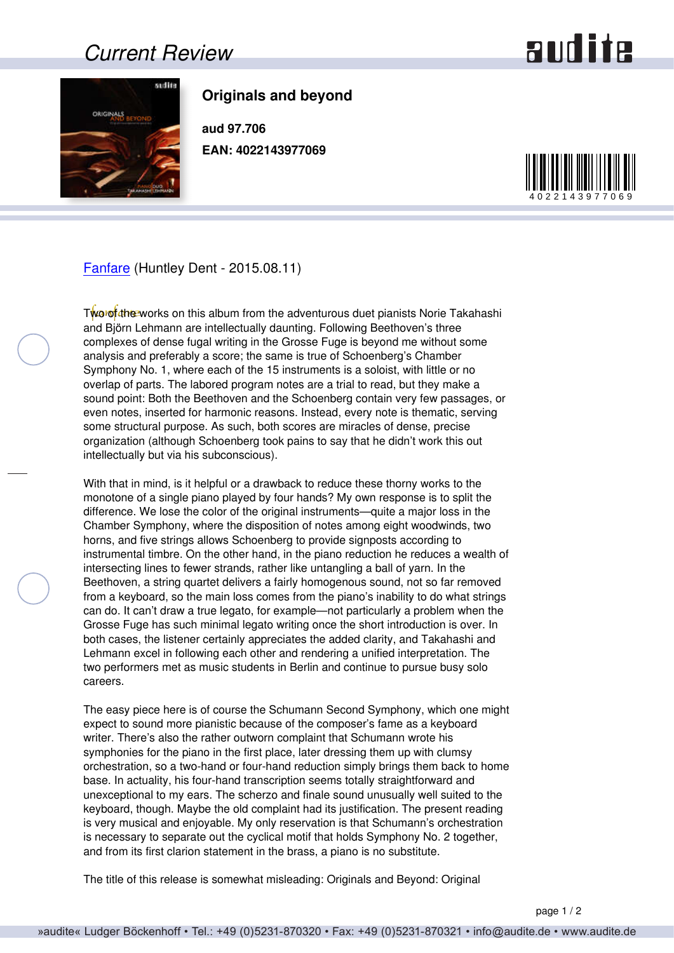## *Current Review*

## and ite



## **Originals and beyond**

**aud 97.706 EAN: 4022143977069**



[Fanfare](http://www.fanfaremag.com/) (Huntley Dent - 2015.08.11)

Two of the works on this album from the adventurous duet pianists Norie Takahashi and Björn Lehmann are intellectually daunting. Following Beethoven's three complexes of dense fugal writing in the Grosse Fuge is beyond me without some analysis and preferably a score; the same is true of Schoenberg's Chamber Symphony No. 1, where each of the 15 instruments is a soloist, with little or no overlap of parts. The labored program notes are a trial to read, but they make a sound point: Both the Beethoven and the Schoenberg contain very few passages, or even notes, inserted for harmonic reasons. Instead, every note is thematic, serving some structural purpose. As such, both scores are miracles of dense, precise organization (although Schoenberg took pains to say that he didn't work this out intellectually but via his subconscious).

With that in mind, is it helpful or a drawback to reduce these thorny works to the monotone of a single piano played by four hands? My own response is to split the difference. We lose the color of the original instruments—quite a major loss in the Chamber Symphony, where the disposition of notes among eight woodwinds, two horns, and five strings allows Schoenberg to provide signposts according to instrumental timbre. On the other hand, in the piano reduction he reduces a wealth of intersecting lines to fewer strands, rather like untangling a ball of yarn. In the Beethoven, a string quartet delivers a fairly homogenous sound, not so far removed from a keyboard, so the main loss comes from the piano's inability to do what strings can do. It can't draw a true legato, for example—not particularly a problem when the Grosse Fuge has such minimal legato writing once the short introduction is over. In both cases, the listener certainly appreciates the added clarity, and Takahashi and Lehmann excel in following each other and rendering a unified interpretation. The two performers met as music students in Berlin and continue to pursue busy solo careers.

The easy piece here is of course the Schumann Second Symphony, which one might expect to sound more pianistic because of the composer's fame as a keyboard writer. There's also the rather outworn complaint that Schumann wrote his symphonies for the piano in the first place, later dressing them up with clumsy orchestration, so a two-hand or four-hand reduction simply brings them back to home base. In actuality, his four-hand transcription seems totally straightforward and unexceptional to my ears. The scherzo and finale sound unusually well suited to the keyboard, though. Maybe the old complaint had its justification. The present reading is very musical and enjoyable. My only reservation is that Schumann's orchestration is necessary to separate out the cyclical motif that holds Symphony No. 2 together, and from its first clarion statement in the brass, a piano is no substitute.

The title of this release is somewhat misleading: Originals and Beyond: Original